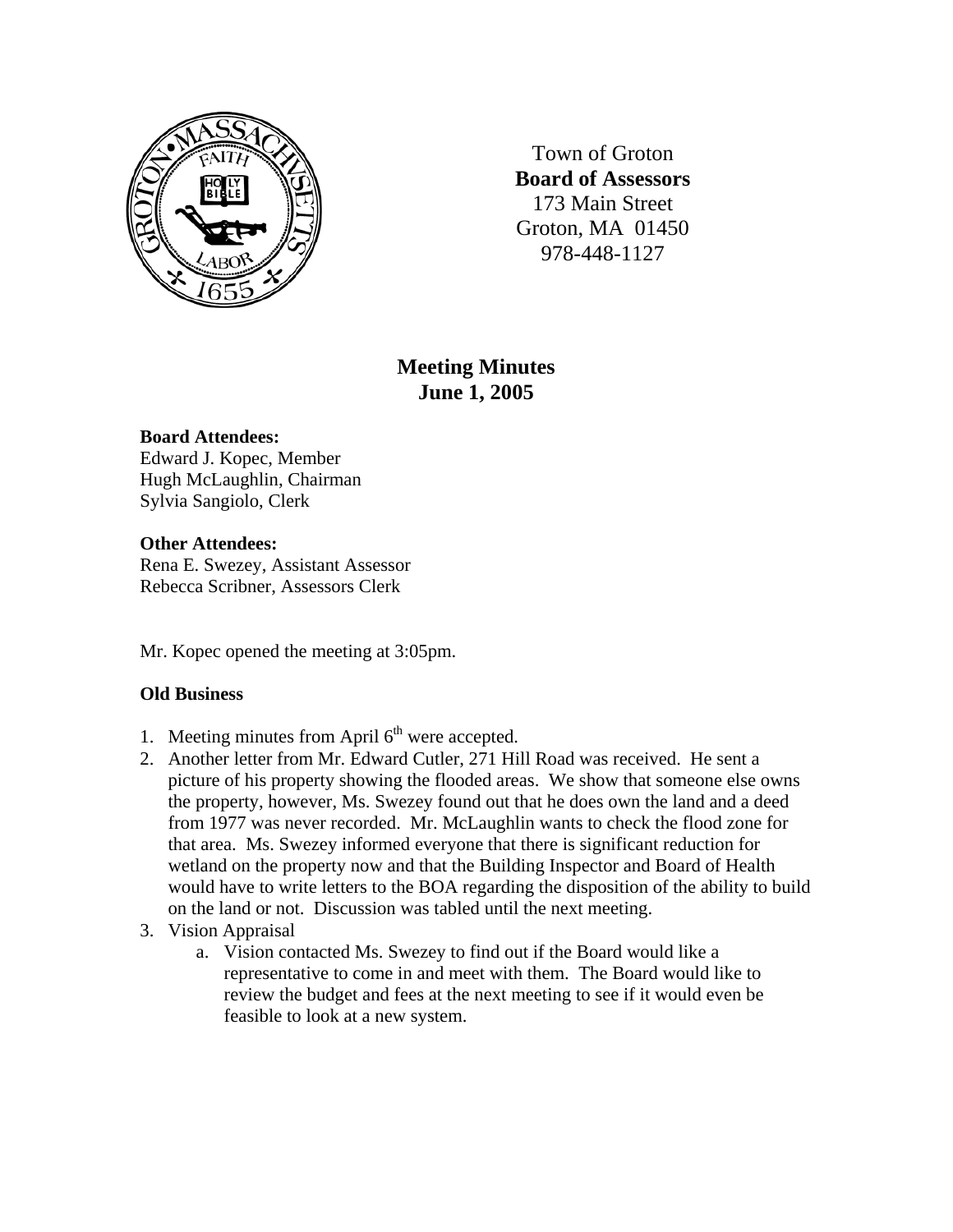

Town of Groton **Board of Assessors**  173 Main Street Groton, MA 01450 978-448-1127

# **Meeting Minutes June 1, 2005**

## **Board Attendees:**

Edward J. Kopec, Member Hugh McLaughlin, Chairman Sylvia Sangiolo, Clerk

## **Other Attendees:**

Rena E. Swezey, Assistant Assessor Rebecca Scribner, Assessors Clerk

Mr. Kopec opened the meeting at 3:05pm.

## **Old Business**

- 1. Meeting minutes from April  $6<sup>th</sup>$  were accepted.
- 2. Another letter from Mr. Edward Cutler, 271 Hill Road was received. He sent a picture of his property showing the flooded areas. We show that someone else owns the property, however, Ms. Swezey found out that he does own the land and a deed from 1977 was never recorded. Mr. McLaughlin wants to check the flood zone for that area. Ms. Swezey informed everyone that there is significant reduction for wetland on the property now and that the Building Inspector and Board of Health would have to write letters to the BOA regarding the disposition of the ability to build on the land or not. Discussion was tabled until the next meeting.
- 3. Vision Appraisal
	- a. Vision contacted Ms. Swezey to find out if the Board would like a representative to come in and meet with them. The Board would like to review the budget and fees at the next meeting to see if it would even be feasible to look at a new system.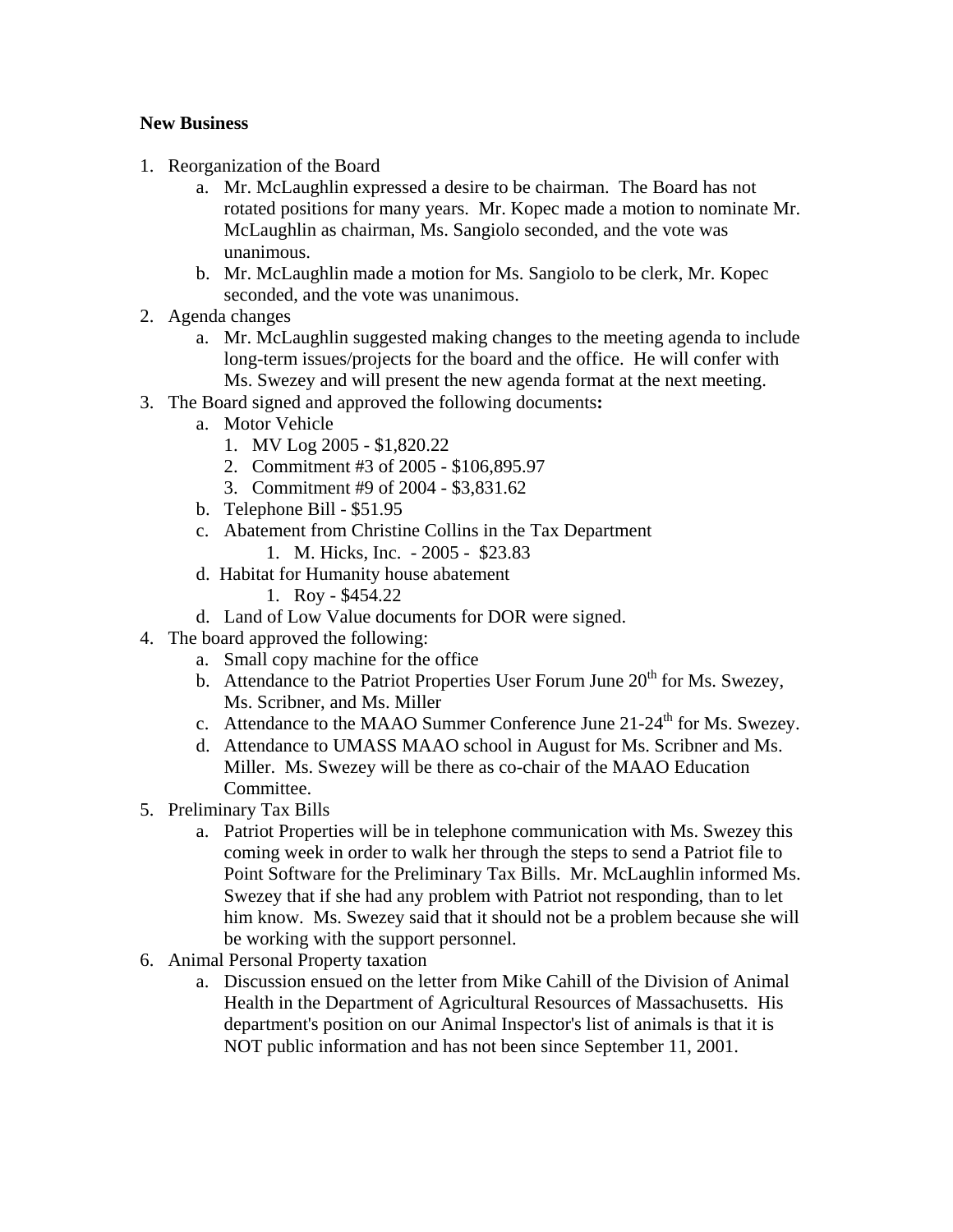## **New Business**

- 1. Reorganization of the Board
	- a. Mr. McLaughlin expressed a desire to be chairman. The Board has not rotated positions for many years. Mr. Kopec made a motion to nominate Mr. McLaughlin as chairman, Ms. Sangiolo seconded, and the vote was unanimous.
	- b. Mr. McLaughlin made a motion for Ms. Sangiolo to be clerk, Mr. Kopec seconded, and the vote was unanimous.
- 2. Agenda changes
	- a. Mr. McLaughlin suggested making changes to the meeting agenda to include long-term issues/projects for the board and the office. He will confer with Ms. Swezey and will present the new agenda format at the next meeting.
- 3. The Board signed and approved the following documents**:**
	- a. Motor Vehicle
		- 1. MV Log 2005 \$1,820.22
		- 2. Commitment #3 of 2005 \$106,895.97
		- 3. Commitment #9 of 2004 \$3,831.62
	- b. Telephone Bill \$51.95
	- c. Abatement from Christine Collins in the Tax Department
		- 1. M. Hicks, Inc. 2005 \$23.83
	- d. Habitat for Humanity house abatement
		- 1. Roy \$454.22
	- d. Land of Low Value documents for DOR were signed.
- 4. The board approved the following:
	- a. Small copy machine for the office
	- b. Attendance to the Patriot Properties User Forum June  $20<sup>th</sup>$  for Ms. Swezey, Ms. Scribner, and Ms. Miller
	- c. Attendance to the MAAO Summer Conference June  $21-24^{\text{th}}$  for Ms. Swezey.
	- d. Attendance to UMASS MAAO school in August for Ms. Scribner and Ms. Miller. Ms. Swezey will be there as co-chair of the MAAO Education Committee.
- 5. Preliminary Tax Bills
	- a. Patriot Properties will be in telephone communication with Ms. Swezey this coming week in order to walk her through the steps to send a Patriot file to Point Software for the Preliminary Tax Bills. Mr. McLaughlin informed Ms. Swezey that if she had any problem with Patriot not responding, than to let him know. Ms. Swezey said that it should not be a problem because she will be working with the support personnel.
- 6. Animal Personal Property taxation
	- a. Discussion ensued on the letter from Mike Cahill of the Division of Animal Health in the Department of Agricultural Resources of Massachusetts. His department's position on our Animal Inspector's list of animals is that it is NOT public information and has not been since September 11, 2001.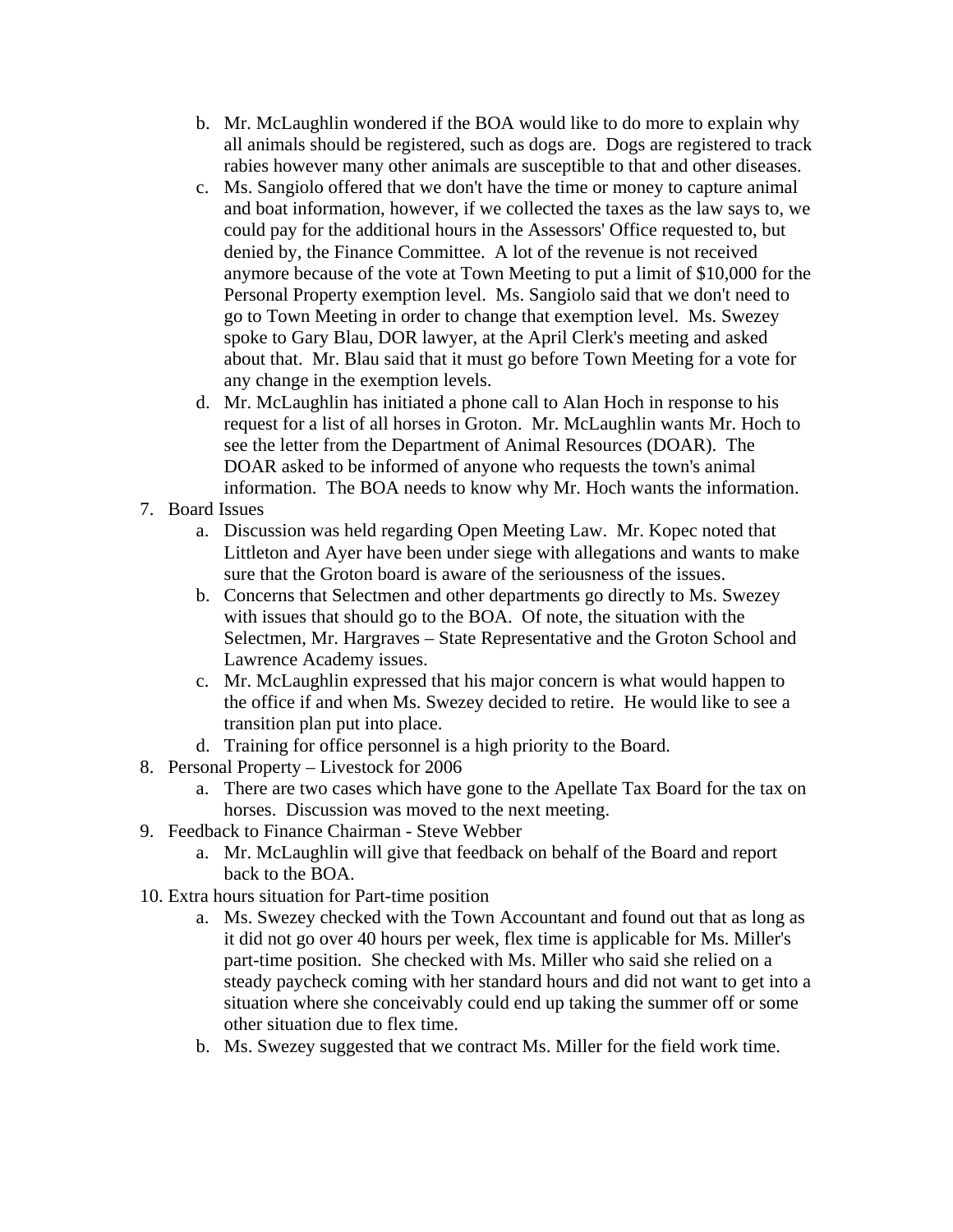- b. Mr. McLaughlin wondered if the BOA would like to do more to explain why all animals should be registered, such as dogs are. Dogs are registered to track rabies however many other animals are susceptible to that and other diseases.
- c. Ms. Sangiolo offered that we don't have the time or money to capture animal and boat information, however, if we collected the taxes as the law says to, we could pay for the additional hours in the Assessors' Office requested to, but denied by, the Finance Committee. A lot of the revenue is not received anymore because of the vote at Town Meeting to put a limit of \$10,000 for the Personal Property exemption level. Ms. Sangiolo said that we don't need to go to Town Meeting in order to change that exemption level. Ms. Swezey spoke to Gary Blau, DOR lawyer, at the April Clerk's meeting and asked about that. Mr. Blau said that it must go before Town Meeting for a vote for any change in the exemption levels.
- d. Mr. McLaughlin has initiated a phone call to Alan Hoch in response to his request for a list of all horses in Groton. Mr. McLaughlin wants Mr. Hoch to see the letter from the Department of Animal Resources (DOAR). The DOAR asked to be informed of anyone who requests the town's animal information. The BOA needs to know why Mr. Hoch wants the information.
- 7. Board Issues
	- a. Discussion was held regarding Open Meeting Law. Mr. Kopec noted that Littleton and Ayer have been under siege with allegations and wants to make sure that the Groton board is aware of the seriousness of the issues.
	- b. Concerns that Selectmen and other departments go directly to Ms. Swezey with issues that should go to the BOA. Of note, the situation with the Selectmen, Mr. Hargraves – State Representative and the Groton School and Lawrence Academy issues.
	- c. Mr. McLaughlin expressed that his major concern is what would happen to the office if and when Ms. Swezey decided to retire. He would like to see a transition plan put into place.
	- d. Training for office personnel is a high priority to the Board.
- 8. Personal Property Livestock for 2006
	- a. There are two cases which have gone to the Apellate Tax Board for the tax on horses. Discussion was moved to the next meeting.
- 9. Feedback to Finance Chairman Steve Webber
	- a. Mr. McLaughlin will give that feedback on behalf of the Board and report back to the BOA.
- 10. Extra hours situation for Part-time position
	- a. Ms. Swezey checked with the Town Accountant and found out that as long as it did not go over 40 hours per week, flex time is applicable for Ms. Miller's part-time position. She checked with Ms. Miller who said she relied on a steady paycheck coming with her standard hours and did not want to get into a situation where she conceivably could end up taking the summer off or some other situation due to flex time.
	- b. Ms. Swezey suggested that we contract Ms. Miller for the field work time.